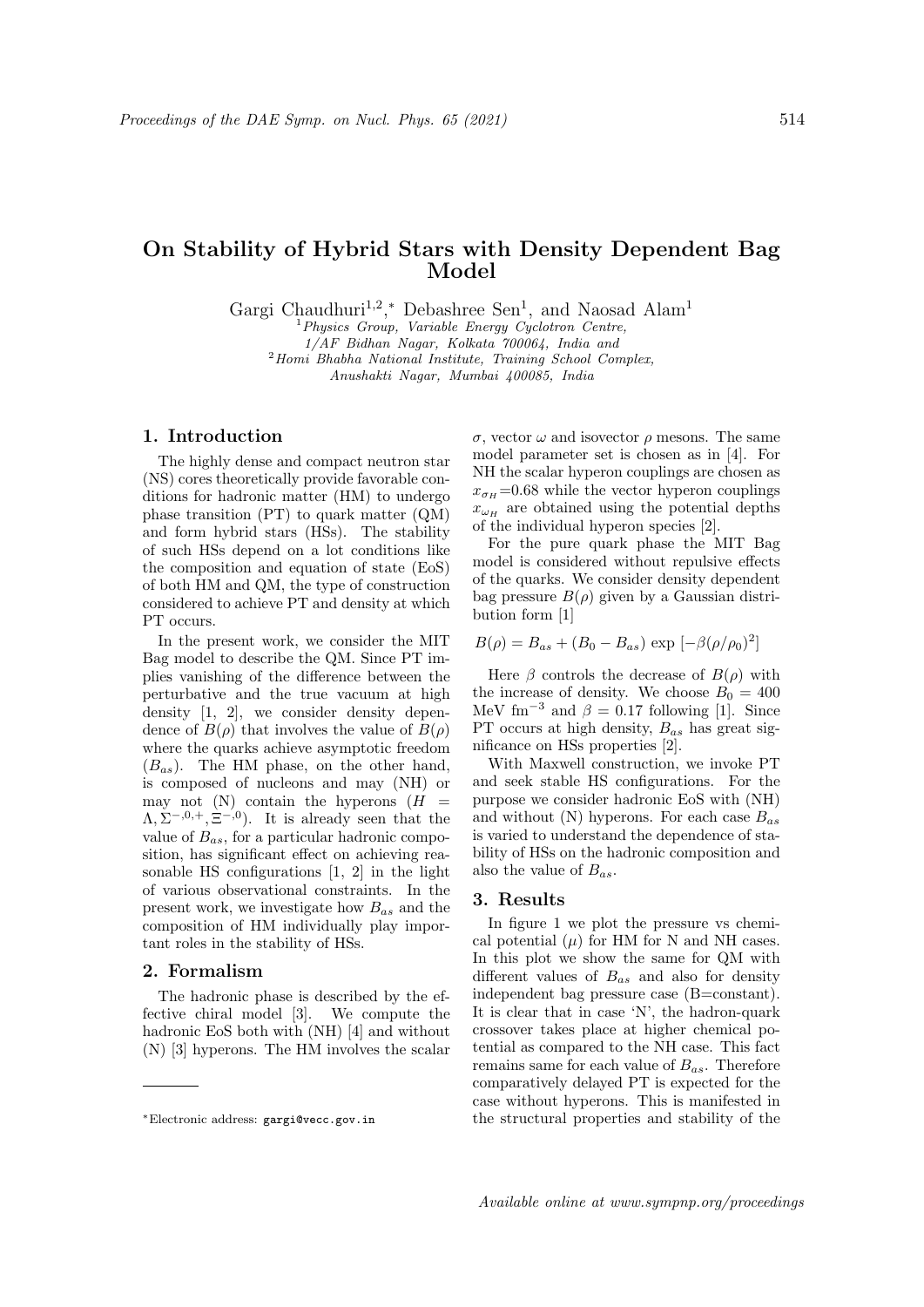# On Stability of Hybrid Stars with Density Dependent Bag Model

Gargi Chaudhuri<sup>1,2</sup>,\* Debashree Sen<sup>1</sup>, and Naosad Alam<sup>1</sup>

 $<sup>1</sup> Physics Group, Variable Energy Cyclotron Centre,$ </sup>

1/AF Bidhan Nagar, Kolkata 700064, India and

<sup>2</sup>Homi Bhabha National Institute, Training School Complex,

Anushakti Nagar, Mumbai 400085, India

### 1. Introduction

The highly dense and compact neutron star (NS) cores theoretically provide favorable conditions for hadronic matter (HM) to undergo phase transition (PT) to quark matter (QM) and form hybrid stars (HSs). The stability of such HSs depend on a lot conditions like the composition and equation of state (EoS) of both HM and QM, the type of construction considered to achieve PT and density at which PT occurs.

In the present work, we consider the MIT Bag model to describe the QM. Since PT implies vanishing of the difference between the perturbative and the true vacuum at high density [1, 2], we consider density dependence of  $B(\rho)$  that involves the value of  $B(\rho)$ where the quarks achieve asymptotic freedom  $(B_{as})$ . The HM phase, on the other hand, is composed of nucleons and may (NH) or may not (N) contain the hyperons  $(H =$  $\Lambda, \Sigma^{-,0,+}, \Xi^{-,0}$ . It is already seen that the value of  $B_{as}$ , for a particular hadronic composition, has significant effect on achieving reasonable HS configurations [1, 2] in the light of various observational constraints. In the present work, we investigate how  $B_{as}$  and the composition of HM individually play important roles in the stability of HSs.

#### 2. Formalism

The hadronic phase is described by the effective chiral model [3]. We compute the hadronic EoS both with (NH) [4] and without (N) [3] hyperons. The HM involves the scalar σ, vector ω and isovector ρ mesons. The same model parameter set is chosen as in [4]. For NH the scalar hyperon couplings are chosen as  $x_{\sigma H} = 0.68$  while the vector hyperon couplings  $x_{\omega_H}$  are obtained using the potential depths of the individual hyperon species [2].

For the pure quark phase the MIT Bag model is considered without repulsive effects of the quarks. We consider density dependent bag pressure  $B(\rho)$  given by a Gaussian distribution form [1]

$$
B(\rho) = B_{as} + (B_0 - B_{as}) \exp[-\beta(\rho/\rho_0)^2]
$$

Here  $\beta$  controls the decrease of  $B(\rho)$  with the increase of density. We choose  $B_0 = 400$ MeV fm<sup>-3</sup> and  $\beta = 0.17$  following [1]. Since PT occurs at high density,  $B_{as}$  has great significance on HSs properties [2].

With Maxwell construction, we invoke PT and seek stable HS configurations. For the purpose we consider hadronic EoS with (NH) and without (N) hyperons. For each case  $B_{as}$ is varied to understand the dependence of stability of HSs on the hadronic composition and also the value of  $B_{as}$ .

#### 3. Results

In figure 1 we plot the pressure vs chemical potential  $(\mu)$  for HM for N and NH cases. In this plot we show the same for QM with different values of  $B_{as}$  and also for density independent bag pressure case (B=constant). It is clear that in case 'N', the hadron-quark crossover takes place at higher chemical potential as compared to the NH case. This fact remains same for each value of  $B_{as}$ . Therefore comparatively delayed PT is expected for the case without hyperons. This is manifested in the structural properties and stability of the

<sup>∗</sup>Electronic address: gargi@vecc.gov.in